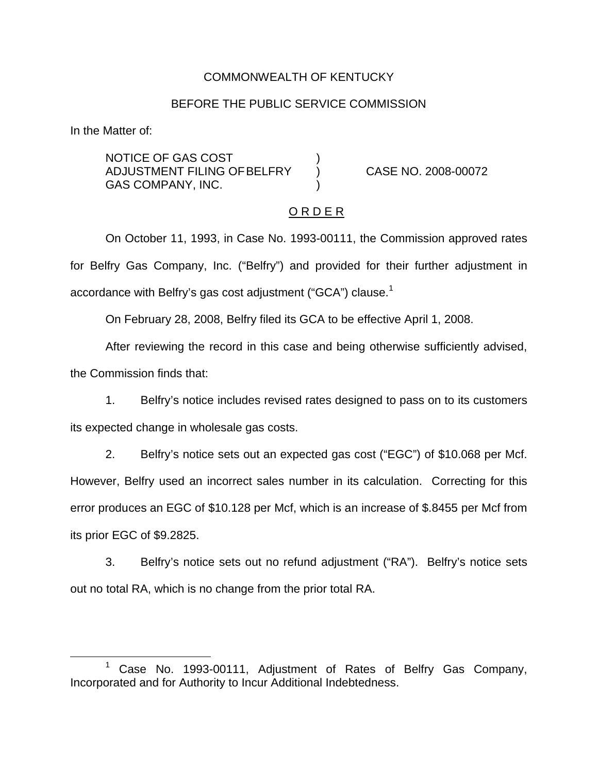### COMMONWEALTH OF KENTUCKY

#### BEFORE THE PUBLIC SERVICE COMMISSION

In the Matter of:

NOTICE OF GAS COST ) ADJUSTMENT FILING OFBELFRY ) CASE NO. 2008-00072 GAS COMPANY, INC.

#### O R D E R

On October 11, 1993, in Case No. 1993-00111, the Commission approved rates for Belfry Gas Company, Inc. ("Belfry") and provided for their further adjustment in accordance with Belfry's gas cost adjustment ("GCA") clause.<sup>1</sup>

On February 28, 2008, Belfry filed its GCA to be effective April 1, 2008.

After reviewing the record in this case and being otherwise sufficiently advised, the Commission finds that:

1. Belfry's notice includes revised rates designed to pass on to its customers its expected change in wholesale gas costs.

2. Belfry's notice sets out an expected gas cost ("EGC") of \$10.068 per Mcf. However, Belfry used an incorrect sales number in its calculation. Correcting for this error produces an EGC of \$10.128 per Mcf, which is an increase of \$.8455 per Mcf from its prior EGC of \$9.2825.

3. Belfry's notice sets out no refund adjustment ("RA"). Belfry's notice sets out no total RA, which is no change from the prior total RA.

Case No. 1993-00111, Adjustment of Rates of Belfry Gas Company, Incorporated and for Authority to Incur Additional Indebtedness.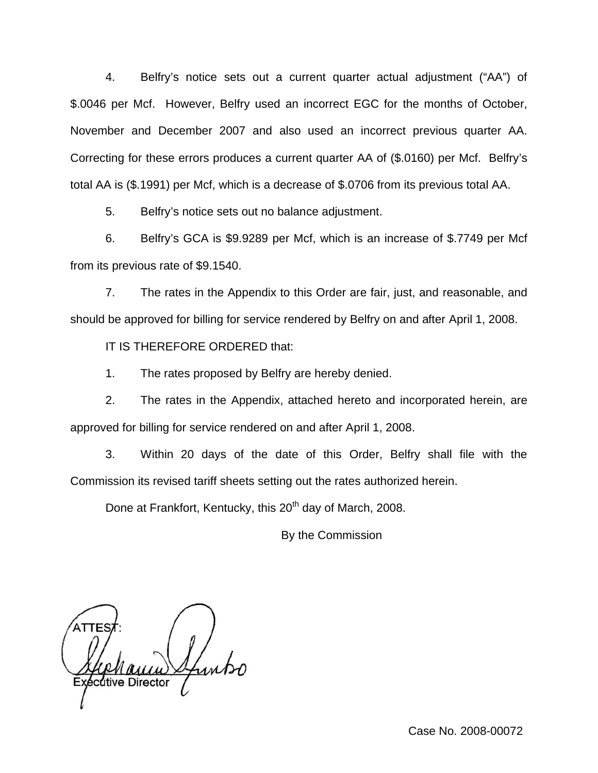4. Belfry's notice sets out a current quarter actual adjustment ("AA") of \$.0046 per Mcf. However, Belfry used an incorrect EGC for the months of October, November and December 2007 and also used an incorrect previous quarter AA. Correcting for these errors produces a current quarter AA of (\$.0160) per Mcf. Belfry's total AA is (\$.1991) per Mcf, which is a decrease of \$.0706 from its previous total AA.

5. Belfry's notice sets out no balance adjustment.

6. Belfry's GCA is \$9.9289 per Mcf, which is an increase of \$.7749 per Mcf from its previous rate of \$9.1540.

7. The rates in the Appendix to this Order are fair, just, and reasonable, and should be approved for billing for service rendered by Belfry on and after April 1, 2008.

IT IS THEREFORE ORDERED that:

1. The rates proposed by Belfry are hereby denied.

2. The rates in the Appendix, attached hereto and incorporated herein, are approved for billing for service rendered on and after April 1, 2008.

3. Within 20 days of the date of this Order, Belfry shall file with the Commission its revised tariff sheets setting out the rates authorized herein.

Done at Frankfort, Kentucky, this 20<sup>th</sup> day of March, 2008.

By the Commission

cutive Director

Case No. 2008-00072